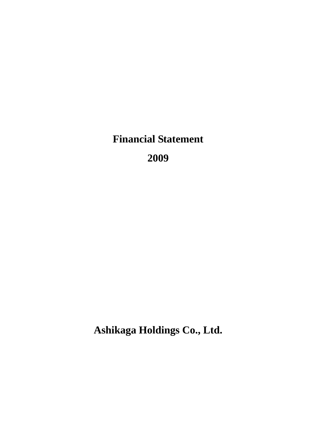**Financial Statement** 

**2009** 

**Ashikaga Holdings Co., Ltd.**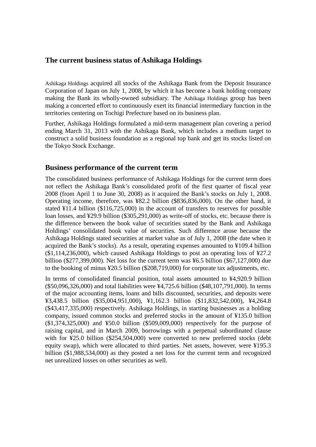## **The current business status of Ashikaga Holdings**

Ashikaga Holdings acquired all stocks of the Ashikaga Bank from the Deposit Insurance Corporation of Japan on July 1, 2008, by which it has become a bank holding company making the Bank its wholly-owned subsidiary. The Ashikaga Holdings group has been making a concerted effort to continuously exert its financial intermediary function in the territories centering on Tochigi Prefecture based on its business plan.

Further, Ashikaga Holdings formulated a mid-term management plan covering a period ending March 31, 2013 with the Ashikaga Bank, which includes a medium target to construct a solid business foundation as a regional top bank and get its stocks listed on the Tokyo Stock Exchange.

## **Business performance of the current term**

The consolidated business performance of Ashikaga Holdings for the current term does not reflect the Ashikaga Bank's consolidated profit of the first quarter of fiscal year 2008 (from April 1 to June 30, 2008) as it acquired the Bank's stocks on July 1, 2008. Operating income, therefore, was ¥82.2 billion (\$836,836,000). On the other hand, it stated ¥11.4 billion (\$116,725,000) in the account of transfers to reserves for possible loan losses, and ¥29.9 billion (\$305,291,000) as write-off of stocks, etc. because there is the difference between the book value of securities stated by the Bank and Ashikaga Holdings' consolidated book value of securities. Such difference arose because the Ashikaga Holdings stated securities at market value as of July 1, 2008 (the date when it acquired the Bank's stocks). As a result, operating expenses amounted to ¥109.4 billion  $(1,114,236,000)$ , which caused Ashikaga Holdings to post an operating loss of ¥27.2 billion (\$277,399,000). Net loss for the current term was ¥6.5 billion (\$67,127,000) due to the booking of minus ¥20.5 billion (\$208,719,000) for corporate tax adjustments, etc.

In terms of consolidated financial position, total assets amounted to ¥4,920.9 billion (\$50,096,326,000) and total liabilities were ¥4,725.6 billion (\$48,107,791,000). In terms of the major accounting items, loans and bills discounted, securities, and deposits were ¥3,438.5 billion (\$35,004,951,000), ¥1,162.3 billion (\$11,832,542,000), ¥4,264.8 (\$43,417,335,000) respectively. Ashikaga Holdings, in starting businesses as a holding company, issued common stocks and preferred stocks in the amount of ¥135.0 billion (\$1,374,325,000) and ¥50.0 billion (\$509,009,000) respectively for the purpose of raising capital, and in March 2009, borrowings with a perpetual subordinated clause with for ¥25.0 billion (\$254,504,000) were converted to new preferred stocks (debt equity swap), which were allocated to third parties. Net assets, however, were ¥195.3 billion (\$1,988,534,000) as they posted a net loss for the current term and recognized net unrealized losses on other securities as well.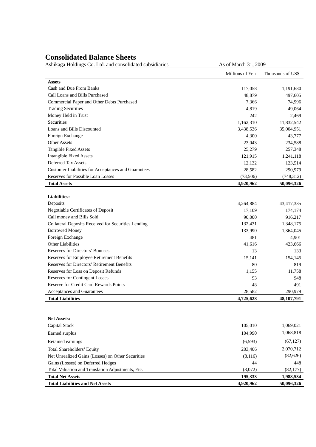## **Consolidated Balance Sheets**

Ashikaga Holdings Co. Ltd. and consolidated subsidiaries As of March 31, 2009

|                                                     | Millions of Yen | Thousands of US\$ |
|-----------------------------------------------------|-----------------|-------------------|
| <b>Assets</b>                                       |                 |                   |
| Cash and Due From Banks                             | 117,058         | 1,191,680         |
| Call Loans and Bills Purchased                      | 48,879          | 497,605           |
| Commercial Paper and Other Debts Purchased          | 7,366           | 74,996            |
| <b>Trading Securities</b>                           | 4,819           | 49,064            |
| Money Held in Trust                                 | 242             | 2,469             |
| Securities                                          | 1,162,310       | 11,832,542        |
| Loans and Bills Discounted                          | 3,438,536       | 35,004,951        |
| Foreign Exchange                                    | 4,300           | 43,777            |
| <b>Other Assets</b>                                 | 23,043          | 234,588           |
| Tangible Fixed Assets                               | 25,279          | 257,348           |
| <b>Intangible Fixed Assets</b>                      | 121,915         | 1,241,118         |
| Deferred Tax Assets                                 | 12,132          | 123,514           |
| Customer Liabilities for Acceptances and Guarantees | 28,582          | 290,979           |
| Reserves for Possible Loan Losses                   | (73,506)        | (748, 312)        |
| <b>Total Assets</b>                                 | 4,920,962       | 50,096,326        |
|                                                     |                 |                   |
| <b>Liabilities:</b>                                 |                 |                   |
| Deposits                                            | 4,264,884       | 43,417,335        |
| <b>Negotiable Certificates of Deposit</b>           | 17,109          | 174,174           |
| Call money and Bills Sold                           | 90,000          | 916,217           |
| Collateral Deposits Received for Securities Lending | 132,431         | 1,348,175         |
| <b>Borrowed Money</b>                               | 133,990         | 1,364,045         |
| Foreign Exchange                                    | 481             | 4,901             |
| Other Liabilities                                   | 41,616          | 423,666           |
| <b>Reserves for Directors' Bonuses</b>              | 13              | 133               |
| Reserves for Employee Retirement Benefits           | 15,141          | 154,145           |
| Reserves for Directors' Retirement Benefits         | 80              | 819               |
| Reserves for Loss on Deposit Refunds                | 1,155           | 11,758            |
| <b>Reserves for Contingent Losses</b>               | 93              | 948               |
| Reserve for Credit Card Rewards Points              | 48              | 491               |
| Acceptances and Guarantees                          | 28,582          | 290,979           |
| <b>Total Liabilities</b>                            | 4,725,628       | 48,107,791        |
|                                                     |                 |                   |
|                                                     |                 |                   |
| <b>Net Assets:</b>                                  |                 |                   |
| Capital Stock                                       | 105,010         | 1,069,021         |
| Earned surplus                                      | 104,990         | 1,068,818         |
| Retained earnings                                   | (6, 593)        | (67, 127)         |
| <b>Total Shareholders' Equity</b>                   | 203,406         | 2,070,712         |
| Net Unrealized Gains (Losses) on Other Securities   | (8,116)         | (82, 626)         |
| Gains (Losses) on Deferred Hedges                   | 44              | 448               |
| Total Valuation and Translation Adjustments, Etc.   | (8,072)         | (82, 177)         |
| <b>Total Net Assets</b>                             | 195,333         | 1,988,534         |

**Total Liabilities and Net Assets 4,920,962 50,096,326**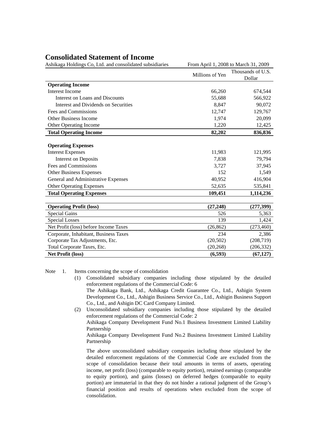## **Consolidated Statement of Income**

Ashikaga Holdings Co, Ltd. and consolidated subsidiaries From April 1, 2008 to March 31, 2009

|                                       | Millions of Yen | Thousands of U.S. |
|---------------------------------------|-----------------|-------------------|
|                                       |                 | Dollar            |
| <b>Operating Income</b>               |                 |                   |
| <b>Interest Income</b>                | 66,260          | 674,544           |
| Interest on Loans and Discounts       | 55,688          | 566,922           |
| Interest and Dividends on Securities  | 8,847           | 90,072            |
| Fees and Commissions                  | 12,747          | 129,767           |
| <b>Other Business Income</b>          | 1,974           | 20,099            |
| Other Operating Income                | 1,220           | 12,425            |
| <b>Total Operating Income</b>         | 82,202          | 836,836           |
|                                       |                 |                   |
| <b>Operating Expenses</b>             |                 |                   |
| <b>Interest Expenses</b>              | 11,983          | 121,995           |
| <b>Interest on Deposits</b>           | 7,838           | 79,794            |
| Fees and Commissions                  | 3.727           | 37,945            |
| <b>Other Business Expenses</b>        | 152             | 1,549             |
| General and Administrative Expenses   | 40,952          | 416,904           |
| <b>Other Operating Expenses</b>       | 52,635          | 535,841           |
| <b>Total Operating Expenses</b>       | 109,451         | 1,114,236         |
|                                       |                 |                   |
| <b>Operating Profit (loss)</b>        | (27, 248)       | (277, 399)        |
| <b>Special Gains</b>                  | 526             | 5,363             |
| <b>Special Losses</b>                 | 139             | 1,424             |
| Net Profit (loss) before Income Taxes | (26, 862)       | (273, 460)        |
| Corporate, Inhabitant, Business Taxes | 234             | 2,386             |
| Corporate Tax Adjustments, Etc.       | (20, 502)       | (208, 719)        |
| Total Corporate Taxes, Etc.           | (20, 268)       | (206, 332)        |
| <b>Net Profit (loss)</b>              | (6,593)         | (67, 127)         |

Note 1. Items concerning the scope of consolidation

 (1) Consolidated subsidiary companies including those stipulated by the detailed enforcement regulations of the Commercial Code: 6 The Ashikaga Bank, Ltd., Ashikaga Credit Guarantee Co., Ltd., Ashigin System

Development Co., Ltd., Ashigin Business Service Co., Ltd., Ashigin Business Support Co., Ltd., and Ashigin DC Card Company Limited.

 (2) Unconsolidated subsidiary companies including those stipulated by the detailed enforcement regulations of the Commercial Code: 2

 Ashikaga Company Development Fund No.1 Business Investment Limited Liability Partnership

 Ashikaga Company Development Fund No.2 Business Investment Limited Liability Partnership

 The above unconsolidated subsidiary companies including those stipulated by the detailed enforcement regulations of the Commercial Code are excluded from the scope of consolidation because their total amounts in terms of assets, operating income, net profit (loss) (comparable to equity portion), retained earnings (comparable to equity portion), and gains (losses) on deferred hedges (comparable to equity portion) are immaterial in that they do not hinder a rational judgment of the Group's financial position and results of operations when excluded from the scope of consolidation.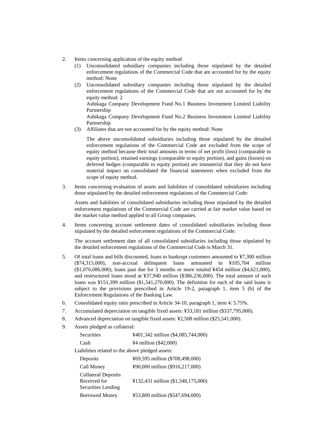- 2. Items concerning application of the equity method
	- (1) Unconsolidated subsidiary companies including those stipulated by the detailed enforcement regulations of the Commercial Code that are accounted for by the equity method: None
	- (2) Unconsolidated subsidiary companies including those stipulated by the detailed enforcement regulations of the Commercial Code that are not accounted for by the equity method: 2

 Ashikaga Company Development Fund No.1 Business Investment Limited Liability **Partnership** 

 Ashikaga Company Development Fund No.2 Business Investment Limited Liability Partnership

(3) Affiliates that are not accounted for by the equity method: None

 The above unconsolidated subsidiaries including those stipulated by the detailed enforcement regulations of the Commercial Code are excluded from the scope of equity method because their total amounts in terms of net profit (loss) (comparable to equity portion), retained earnings (comparable to equity portion), and gains (losses) on deferred hedges (comparable to equity portion) are immaterial that they do not have material impact on consolidated the financial statements when excluded from the scope of equity method.

 3. Items concerning evaluation of assets and liabilities of consolidated subsidiaries including those stipulated by the detailed enforcement regulations of the Commercial Code:

Assets and liabilities of consolidated subsidiaries including those stipulated by the detailed enforcement regulations of the Commercial Code are carried at fair market value based on the market value method applied to all Group companies.

 4. Items concerning account settlement dates of consolidated subsidiaries including those stipulated by the detailed enforcement regulations of the Commercial Code:

The account settlement date of all consolidated subsidiaries including those stipulated by the detailed enforcement regulations of the Commercial Code is March 31.

- 5. Of total loans and bills discounted, loans to bankrupt customers amounted to ¥7,300 million (\$74,315,000), non-accrual delinquent loans amounted to ¥105,704 million (\$1,076,086,000), loans past due for 3 months or more totaled ¥454 million (\$4,621,000), and restructured loans stood at ¥37,940 million (\$386,236,000). The total amount of such loans was ¥151,399 million (\$1,541,270,000). The definition for each of the said loans is subject to the provisions prescribed in Article 19-2, paragraph 1, item 5 (b) of the Enforcement Regulations of the Banking Law.
- 6. Consolidated equity ratio prescribed in Article 34-10, paragraph 1, item 4: 5.75%.
- 7. Accumulated depreciation on tangible fixed assets: ¥33,181 million (\$337,795,000).
- 8. Advanced depreciation on tangible fixed assets: ¥2,508 million (\$25,541,000).
- 9. Assets pledged as collateral:

| <b>Securities</b> | ¥401,342 million (\$4,085,744,000) |
|-------------------|------------------------------------|
| Cash              | $44$ million (\$42,000)            |

Liabilities related to the above pledged assets:

| Deposits                                                         | ¥69,595 million (\$708,498,000)    |
|------------------------------------------------------------------|------------------------------------|
| Call Money                                                       | ¥90,000 million (\$916,217,000)    |
| <b>Collateral Deposits</b><br>Received for<br>Securities Lending | ¥132,431 million (\$1,348,175,000) |
| <b>Borrowed Money</b>                                            | ¥53,800 million (\$547,694,000)    |